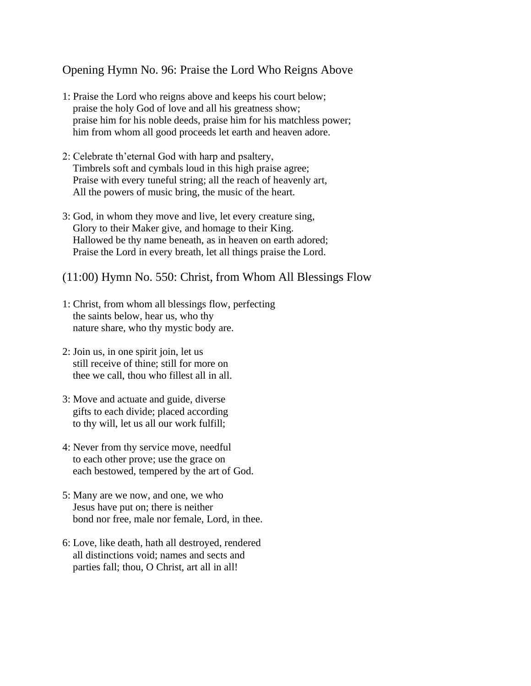## Opening Hymn No. 96: Praise the Lord Who Reigns Above

- 1: Praise the Lord who reigns above and keeps his court below; praise the holy God of love and all his greatness show; praise him for his noble deeds, praise him for his matchless power; him from whom all good proceeds let earth and heaven adore.
- 2: Celebrate th'eternal God with harp and psaltery, Timbrels soft and cymbals loud in this high praise agree; Praise with every tuneful string; all the reach of heavenly art, All the powers of music bring, the music of the heart.
- 3: God, in whom they move and live, let every creature sing, Glory to their Maker give, and homage to their King. Hallowed be thy name beneath, as in heaven on earth adored; Praise the Lord in every breath, let all things praise the Lord.
- (11:00) Hymn No. 550: Christ, from Whom All Blessings Flow
- 1: Christ, from whom all blessings flow, perfecting the saints below, hear us, who thy nature share, who thy mystic body are.
- 2: Join us, in one spirit join, let us still receive of thine; still for more on thee we call, thou who fillest all in all.
- 3: Move and actuate and guide, diverse gifts to each divide; placed according to thy will, let us all our work fulfill;
- 4: Never from thy service move, needful to each other prove; use the grace on each bestowed, tempered by the art of God.
- 5: Many are we now, and one, we who Jesus have put on; there is neither bond nor free, male nor female, Lord, in thee.
- 6: Love, like death, hath all destroyed, rendered all distinctions void; names and sects and parties fall; thou, O Christ, art all in all!